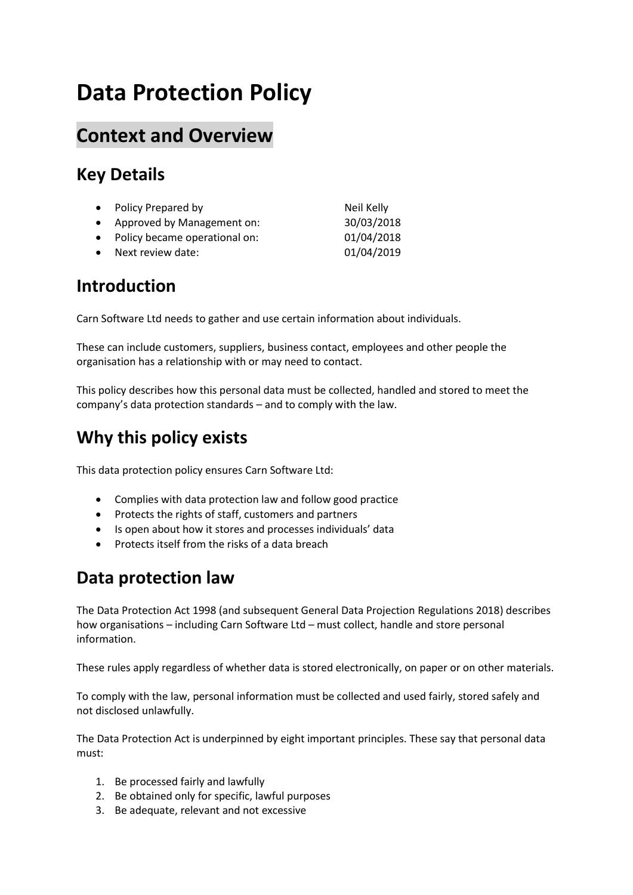# **Data Protection Policy**

### **Context and Overview**

### **Key Details**

| • Policy Prepared by            | Neil Kelly |
|---------------------------------|------------|
| • Approved by Management on:    | 30/03/2018 |
| • Policy became operational on: | 01/04/2018 |
| • Next review date:             | 01/04/2019 |

#### **Introduction**

Carn Software Ltd needs to gather and use certain information about individuals.

These can include customers, suppliers, business contact, employees and other people the organisation has a relationship with or may need to contact.

This policy describes how this personal data must be collected, handled and stored to meet the company's data protection standards – and to comply with the law.

### **Why this policy exists**

This data protection policy ensures Carn Software Ltd:

- Complies with data protection law and follow good practice
- Protects the rights of staff, customers and partners
- Is open about how it stores and processes individuals' data
- Protects itself from the risks of a data breach

### **Data protection law**

The Data Protection Act 1998 (and subsequent General Data Projection Regulations 2018) describes how organisations – including Carn Software Ltd – must collect, handle and store personal information.

These rules apply regardless of whether data is stored electronically, on paper or on other materials.

To comply with the law, personal information must be collected and used fairly, stored safely and not disclosed unlawfully.

The Data Protection Act is underpinned by eight important principles. These say that personal data must:

- 1. Be processed fairly and lawfully
- 2. Be obtained only for specific, lawful purposes
- 3. Be adequate, relevant and not excessive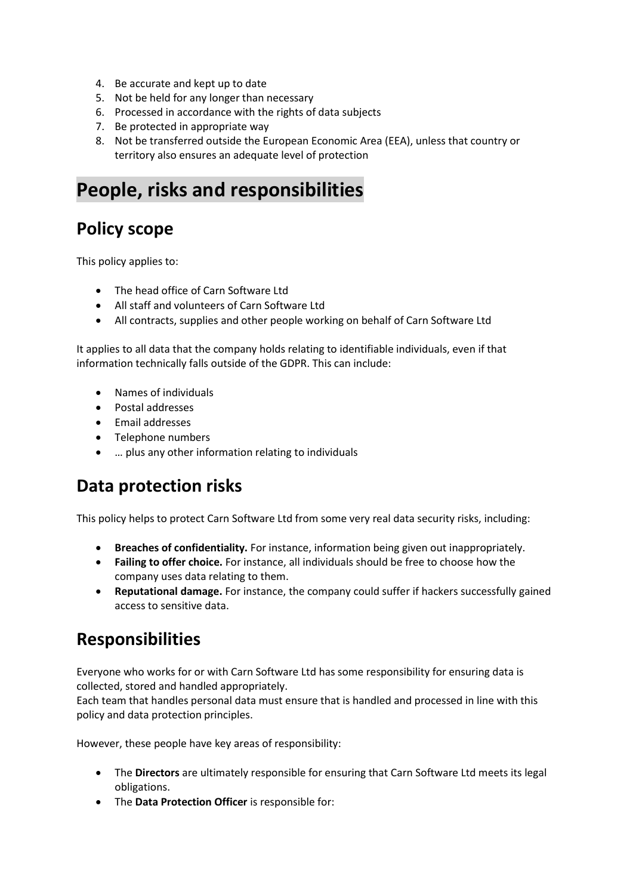- 4. Be accurate and kept up to date
- 5. Not be held for any longer than necessary
- 6. Processed in accordance with the rights of data subjects
- 7. Be protected in appropriate way
- 8. Not be transferred outside the European Economic Area (EEA), unless that country or territory also ensures an adequate level of protection

### **People, risks and responsibilities**

#### **Policy scope**

This policy applies to:

- The head office of Carn Software Ltd
- All staff and volunteers of Carn Software Ltd
- All contracts, supplies and other people working on behalf of Carn Software Ltd

It applies to all data that the company holds relating to identifiable individuals, even if that information technically falls outside of the GDPR. This can include:

- Names of individuals
- Postal addresses
- Email addresses
- Telephone numbers
- … plus any other information relating to individuals

#### **Data protection risks**

This policy helps to protect Carn Software Ltd from some very real data security risks, including:

- **Breaches of confidentiality.** For instance, information being given out inappropriately.
- **Failing to offer choice.** For instance, all individuals should be free to choose how the company uses data relating to them.
- **Reputational damage.** For instance, the company could suffer if hackers successfully gained access to sensitive data.

#### **Responsibilities**

Everyone who works for or with Carn Software Ltd has some responsibility for ensuring data is collected, stored and handled appropriately.

Each team that handles personal data must ensure that is handled and processed in line with this policy and data protection principles.

However, these people have key areas of responsibility:

- The **Directors** are ultimately responsible for ensuring that Carn Software Ltd meets its legal obligations.
- The **Data Protection Officer** is responsible for: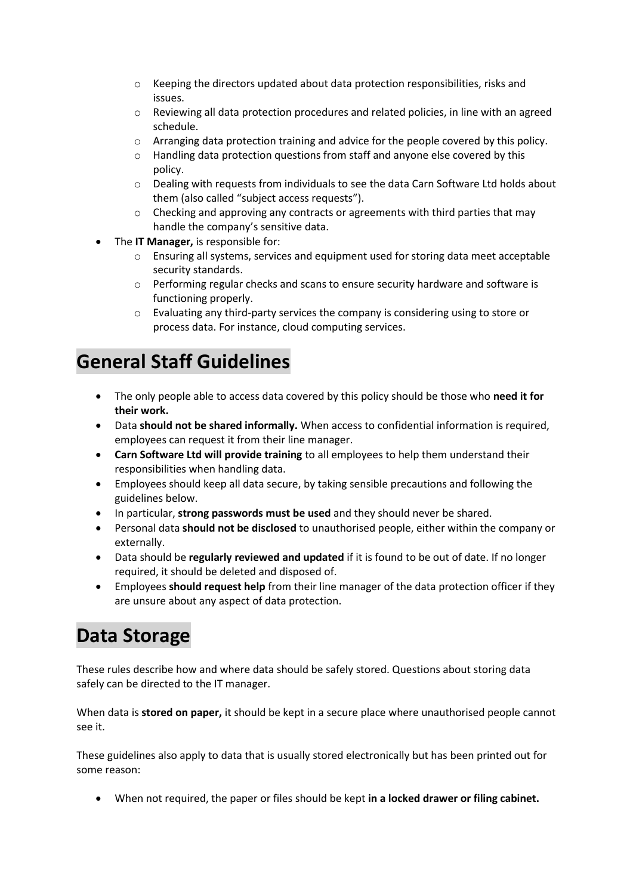- o Keeping the directors updated about data protection responsibilities, risks and issues.
- $\circ$  Reviewing all data protection procedures and related policies, in line with an agreed schedule.
- o Arranging data protection training and advice for the people covered by this policy.
- o Handling data protection questions from staff and anyone else covered by this policy.
- o Dealing with requests from individuals to see the data Carn Software Ltd holds about them (also called "subject access requests").
- $\circ$  Checking and approving any contracts or agreements with third parties that may handle the company's sensitive data.
- The **IT Manager,** is responsible for:
	- $\circ$  Ensuring all systems, services and equipment used for storing data meet acceptable security standards.
	- o Performing regular checks and scans to ensure security hardware and software is functioning properly.
	- $\circ$  Evaluating any third-party services the company is considering using to store or process data. For instance, cloud computing services.

# **General Staff Guidelines**

- The only people able to access data covered by this policy should be those who **need it for their work.**
- Data **should not be shared informally.** When access to confidential information is required, employees can request it from their line manager.
- **Carn Software Ltd will provide training** to all employees to help them understand their responsibilities when handling data.
- Employees should keep all data secure, by taking sensible precautions and following the guidelines below.
- In particular, **strong passwords must be used** and they should never be shared.
- Personal data **should not be disclosed** to unauthorised people, either within the company or externally.
- Data should be **regularly reviewed and updated** if it is found to be out of date. If no longer required, it should be deleted and disposed of.
- Employees **should request help** from their line manager of the data protection officer if they are unsure about any aspect of data protection.

## **Data Storage**

These rules describe how and where data should be safely stored. Questions about storing data safely can be directed to the IT manager.

When data is **stored on paper,** it should be kept in a secure place where unauthorised people cannot see it.

These guidelines also apply to data that is usually stored electronically but has been printed out for some reason:

• When not required, the paper or files should be kept **in a locked drawer or filing cabinet.**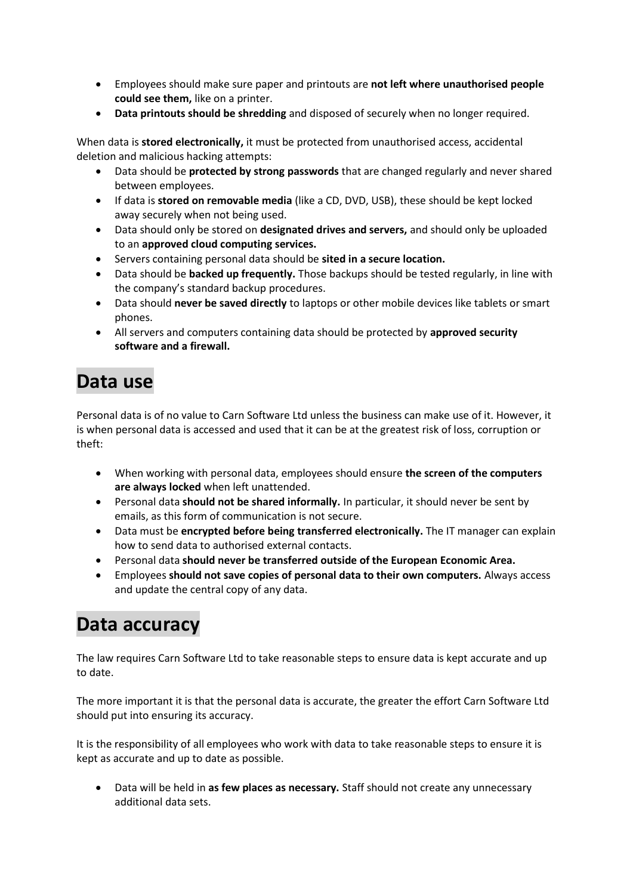- Employees should make sure paper and printouts are **not left where unauthorised people could see them,** like on a printer.
- **Data printouts should be shredding** and disposed of securely when no longer required.

When data is **stored electronically,** it must be protected from unauthorised access, accidental deletion and malicious hacking attempts:

- Data should be **protected by strong passwords** that are changed regularly and never shared between employees.
- If data is **stored on removable media** (like a CD, DVD, USB), these should be kept locked away securely when not being used.
- Data should only be stored on **designated drives and servers,** and should only be uploaded to an **approved cloud computing services.**
- Servers containing personal data should be **sited in a secure location.**
- Data should be **backed up frequently.** Those backups should be tested regularly, in line with the company's standard backup procedures.
- Data should **never be saved directly** to laptops or other mobile devices like tablets or smart phones.
- All servers and computers containing data should be protected by **approved security software and a firewall.**

# **Data use**

Personal data is of no value to Carn Software Ltd unless the business can make use of it. However, it is when personal data is accessed and used that it can be at the greatest risk of loss, corruption or theft:

- When working with personal data, employees should ensure **the screen of the computers are always locked** when left unattended.
- Personal data **should not be shared informally.** In particular, it should never be sent by emails, as this form of communication is not secure.
- Data must be **encrypted before being transferred electronically.** The IT manager can explain how to send data to authorised external contacts.
- Personal data **should never be transferred outside of the European Economic Area.**
- Employees **should not save copies of personal data to their own computers.** Always access and update the central copy of any data.

### **Data accuracy**

The law requires Carn Software Ltd to take reasonable steps to ensure data is kept accurate and up to date.

The more important it is that the personal data is accurate, the greater the effort Carn Software Ltd should put into ensuring its accuracy.

It is the responsibility of all employees who work with data to take reasonable steps to ensure it is kept as accurate and up to date as possible.

• Data will be held in **as few places as necessary.** Staff should not create any unnecessary additional data sets.